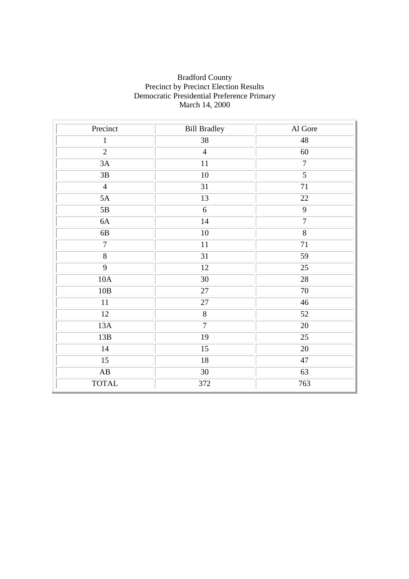#### Bradford County Precinct by Precinct Election Results Democratic Presidential Preference Primary March 14, 2000

| Precinct               | <b>Bill Bradley</b> | Al Gore         |  |
|------------------------|---------------------|-----------------|--|
| $\mathbf{1}$           | 38                  | 48              |  |
| $\overline{2}$         | $\overline{4}$      | 60              |  |
| 3A                     | 11                  | $\overline{7}$  |  |
| $3\mathrm{B}$          | 10                  | $\overline{5}$  |  |
| $\overline{4}$         | 31                  | $\overline{71}$ |  |
| 5A                     | 13                  | $22\,$          |  |
| 5B                     | 6                   | $\overline{9}$  |  |
| $6A$                   | $14\,$              | $\overline{7}$  |  |
| $6B$                   | $10\,$              | 8               |  |
| $\overline{7}$         | $11\,$              | $\overline{71}$ |  |
| $\overline{8}$         | 31                  | 59              |  |
| $\overline{9}$         | 12                  | 25              |  |
| 10A                    | 30                  | 28              |  |
| 10B                    | 27                  | $70\,$          |  |
| $11\,$                 | 27                  | 46              |  |
| 12                     | $\overline{8}$      | 52              |  |
| 13A                    | $\overline{7}$      | 20              |  |
| 13B                    | 19                  | $\overline{25}$ |  |
| $14\,$                 | 15                  | $20\,$          |  |
| $\overline{15}$        | 18                  | 47              |  |
| $\mathbf{A}\mathbf{B}$ | 30                  | 63              |  |
| <b>TOTAL</b>           | 372                 | 763             |  |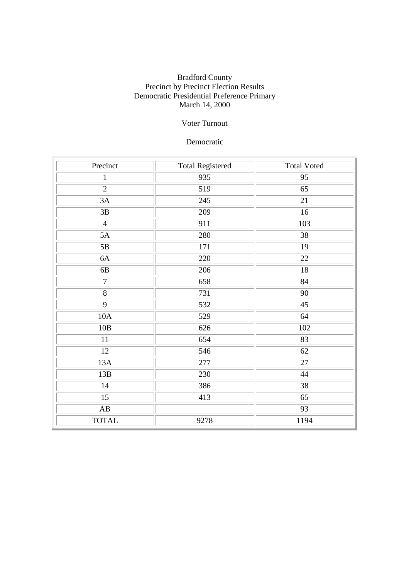### Bradford County Precinct by Precinct Election Results Democratic Presidential Preference Primary March 14, 2000

## Voter Turnout

#### Democratic

| Precinct               | <b>Total Registered</b><br><b>Total Voted</b> |      |  |
|------------------------|-----------------------------------------------|------|--|
| $\mathbf{1}$           | 935                                           | 95   |  |
| $\overline{2}$         | 519                                           | 65   |  |
| 3A                     | 245                                           | 21   |  |
| $3\mathrm{B}$          | 209                                           | 16   |  |
| $\overline{4}$         | 911                                           | 103  |  |
| 5A                     | 280                                           | 38   |  |
| $5\mathrm{B}$          | 171                                           | 19   |  |
| 6A                     | 220                                           | 22   |  |
| $6B$                   | 206                                           | 18   |  |
| $\boldsymbol{7}$       | 658                                           | 84   |  |
| $\overline{8}$         | 731                                           | 90   |  |
| $\overline{9}$         | 532                                           | 45   |  |
| 10A                    | 529                                           | 64   |  |
| 10B                    | 102<br>626                                    |      |  |
| 11                     | 83<br>654                                     |      |  |
| 12                     | 546                                           | 62   |  |
| 13A                    | 277                                           | 27   |  |
| 13B                    | 230                                           | 44   |  |
| 14                     | 386                                           | 38   |  |
| 15                     | 413                                           | 65   |  |
| $\mathbf{A}\mathbf{B}$ |                                               | 93   |  |
| <b>TOTAL</b>           | 9278                                          | 1194 |  |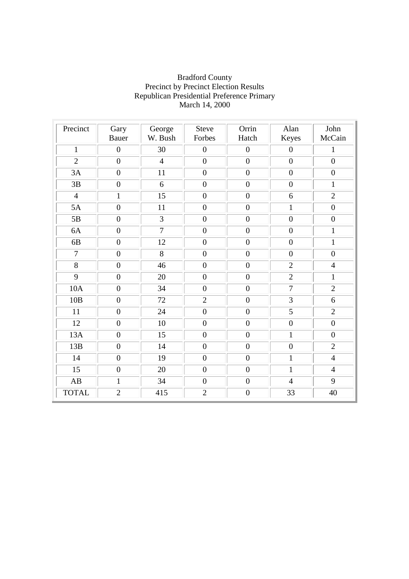| Precinct               | Gary<br><b>Bauer</b> | George<br>W. Bush | <b>Steve</b><br>Forbes | Orrin<br>Hatch   | Alan<br>Keyes    | John<br>McCain   |
|------------------------|----------------------|-------------------|------------------------|------------------|------------------|------------------|
| $\mathbf{1}$           | $\overline{0}$       | 30                | $\boldsymbol{0}$       | $\boldsymbol{0}$ | $\boldsymbol{0}$ | $\mathbf{1}$     |
| $\overline{2}$         | $\overline{0}$       | $\overline{4}$    | $\mathbf{0}$           | $\boldsymbol{0}$ | $\overline{0}$   | $\overline{0}$   |
| 3A                     | $\boldsymbol{0}$     | 11                | $\boldsymbol{0}$       | $\boldsymbol{0}$ | $\boldsymbol{0}$ | $\boldsymbol{0}$ |
| 3B                     | $\boldsymbol{0}$     | 6                 | $\overline{0}$         | $\boldsymbol{0}$ | $\boldsymbol{0}$ | $\mathbf{1}$     |
| $\overline{4}$         | $\mathbf{1}$         | $\overline{15}$   | $\boldsymbol{0}$       | $\boldsymbol{0}$ | 6                | $\overline{2}$   |
| 5A                     | $\boldsymbol{0}$     | 11                | $\boldsymbol{0}$       | $\boldsymbol{0}$ | $\mathbf{1}$     | $\boldsymbol{0}$ |
| 5B                     | $\overline{0}$       | $\overline{3}$    | $\boldsymbol{0}$       | $\mathbf{0}$     | $\boldsymbol{0}$ | $\overline{0}$   |
| 6A                     | $\boldsymbol{0}$     | $\overline{7}$    | $\boldsymbol{0}$       | $\boldsymbol{0}$ | $\boldsymbol{0}$ | $\mathbf{1}$     |
| 6B                     | $\overline{0}$       | 12                | $\boldsymbol{0}$       | $\boldsymbol{0}$ | $\overline{0}$   | $\mathbf{1}$     |
| $\overline{7}$         | $\boldsymbol{0}$     | 8                 | $\overline{0}$         | $\boldsymbol{0}$ | $\boldsymbol{0}$ | $\overline{0}$   |
| 8                      | $\overline{0}$       | 46                | $\overline{0}$         | $\boldsymbol{0}$ | $\overline{2}$   | $\overline{4}$   |
| 9                      | $\overline{0}$       | 20                | $\boldsymbol{0}$       | $\boldsymbol{0}$ | $\overline{2}$   | $\mathbf{1}$     |
| 10A                    | $\mathbf{0}$         | 34                | $\mathbf{0}$           | $\boldsymbol{0}$ | $\overline{7}$   | $\overline{2}$   |
| 10B                    | $\boldsymbol{0}$     | 72                | $\overline{2}$         | $\boldsymbol{0}$ | 3                | 6                |
| 11                     | $\boldsymbol{0}$     | 24                | $\overline{0}$         | $\boldsymbol{0}$ | 5                | $\overline{2}$   |
| 12                     | $\boldsymbol{0}$     | 10                | $\boldsymbol{0}$       | $\boldsymbol{0}$ | $\boldsymbol{0}$ | $\boldsymbol{0}$ |
| 13A                    | $\boldsymbol{0}$     | 15                | $\boldsymbol{0}$       | $\boldsymbol{0}$ | $\mathbf{1}$     | $\overline{0}$   |
| 13B                    | $\overline{0}$       | 14                | $\boldsymbol{0}$       | $\boldsymbol{0}$ | $\boldsymbol{0}$ | $\overline{2}$   |
| 14                     | $\boldsymbol{0}$     | 19                | $\boldsymbol{0}$       | $\boldsymbol{0}$ | $\mathbf{1}$     | $\overline{4}$   |
| 15                     | $\boldsymbol{0}$     | 20                | $\boldsymbol{0}$       | $\boldsymbol{0}$ | $\mathbf{1}$     | $\overline{4}$   |
| $\mathbf{A}\mathbf{B}$ | $\mathbf{1}$         | 34                | $\boldsymbol{0}$       | $\boldsymbol{0}$ | $\overline{4}$   | 9                |
| <b>TOTAL</b>           | $\overline{2}$       | 415               | $\overline{2}$         | $\boldsymbol{0}$ | 33               | 40               |